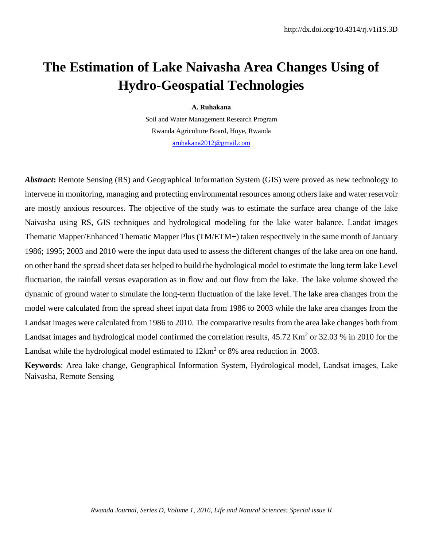# **The Estimation of Lake Naivasha Area Changes Using of Hydro-Geospatial Technologies**

#### **A. Ruhakana**

Soil and Water Management Research Program Rwanda Agriculture Board, Huye, Rwanda [aruhakana2012@gmail.com](mailto:aruhakana2012@gmail.com)

*Abstract***:** Remote Sensing (RS) and Geographical Information System (GIS) were proved as new technology to intervene in monitoring, managing and protecting environmental resources among others lake and water reservoir are mostly anxious resources. The objective of the study was to estimate the surface area change of the lake Naivasha using RS, GIS techniques and hydrological modeling for the lake water balance. Landat images Thematic Mapper/Enhanced Thematic Mapper Plus (TM/ETM+) taken respectively in the same month of January 1986; 1995; 2003 and 2010 were the input data used to assess the different changes of the lake area on one hand. on other hand the spread sheet data set helped to build the hydrological model to estimate the long term lake Level fluctuation, the rainfall versus evaporation as in flow and out flow from the lake. The lake volume showed the dynamic of ground water to simulate the long-term fluctuation of the lake level. The lake area changes from the model were calculated from the spread sheet input data from 1986 to 2003 while the lake area changes from the Landsat images were calculated from 1986 to 2010. The comparative results from the area lake changes both from Landsat images and hydrological model confirmed the correlation results, 45.72 Km<sup>2</sup> or 32.03 % in 2010 for the Landsat while the hydrological model estimated to  $12 \text{km}^2$  or 8% area reduction in 2003.

**Keywords**: Area lake change, Geographical Information System, Hydrological model, Landsat images, Lake Naivasha*,* Remote Sensing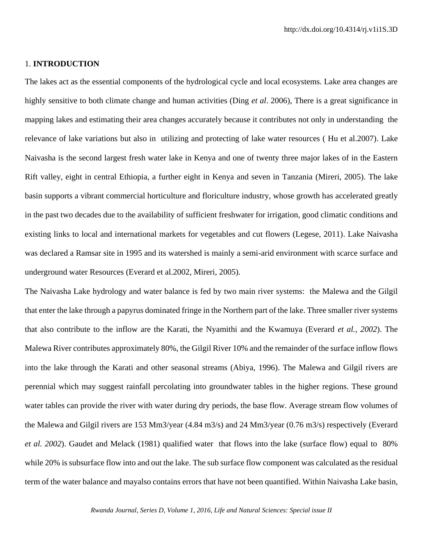### 1. **INTRODUCTION**

The lakes act as the essential components of the hydrological cycle and local ecosystems. Lake area changes are highly sensitive to both climate change and human activities (Ding *et al*. 2006), There is a great significance in mapping lakes and estimating their area changes accurately because it contributes not only in understanding the relevance of lake variations but also in utilizing and protecting of lake water resources ( Hu et al.2007). Lake Naivasha is the second largest fresh water lake in Kenya and one of twenty three major lakes of in the Eastern Rift valley, eight in central Ethiopia, a further eight in Kenya and seven in Tanzania (Mireri, 2005). The lake basin supports a vibrant commercial horticulture and floriculture industry, whose growth has accelerated greatly in the past two decades due to the availability of sufficient freshwater for irrigation, good climatic conditions and existing links to local and international markets for vegetables and cut flowers (Legese, 2011). Lake Naivasha was declared a Ramsar site in 1995 and its watershed is mainly a semi-arid environment with scarce surface and underground water Resources (Everard et al.2002, Mireri, 2005).

The Naivasha Lake hydrology and water balance is fed by two main river systems: the Malewa and the Gilgil that enter the lake through a papyrus dominated fringe in the Northern part of the lake. Three smaller river systems that also contribute to the inflow are the Karati, the Nyamithi and the Kwamuya (Everard *et al., 2002*). The Malewa River contributes approximately 80%, the Gilgil River 10% and the remainder of the surface inflow flows into the lake through the Karati and other seasonal streams (Abiya, 1996). The Malewa and Gilgil rivers are perennial which may suggest rainfall percolating into groundwater tables in the higher regions. These ground water tables can provide the river with water during dry periods, the base flow. Average stream flow volumes of the Malewa and Gilgil rivers are 153 Mm3/year (4.84 m3/s) and 24 Mm3/year (0.76 m3/s) respectively (Everard *et al. 2002*). Gaudet and Melack (1981) qualified water that flows into the lake (surface flow) equal to 80% while 20% is subsurface flow into and out the lake. The sub surface flow component was calculated as the residual term of the water balance and mayalso contains errors that have not been quantified. Within Naivasha Lake basin,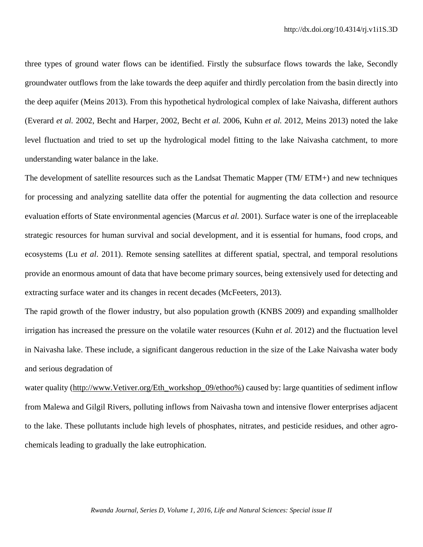three types of ground water flows can be identified. Firstly the subsurface flows towards the lake, Secondly groundwater outflows from the lake towards the deep aquifer and thirdly percolation from the basin directly into the deep aquifer (Meins 2013). From this hypothetical hydrological complex of lake Naivasha, different authors (Everard *et al.* 2002, Becht and Harper, 2002, Becht *et al.* 2006, Kuhn *et al.* 2012, Meins 2013) noted the lake level fluctuation and tried to set up the hydrological model fitting to the lake Naivasha catchment, to more understanding water balance in the lake.

The development of satellite resources such as the Landsat Thematic Mapper (TM/ ETM+) and new techniques for processing and analyzing satellite data offer the potential for augmenting the data collection and resource evaluation efforts of State environmental agencies (Marcus *et al.* 2001). Surface water is one of the irreplaceable strategic resources for human survival and social development, and it is essential for humans, food crops, and ecosystems (Lu *et al*. 2011). Remote sensing satellites at different spatial, spectral, and temporal resolutions provide an enormous amount of data that have become primary sources, being extensively used for detecting and extracting surface water and its changes in recent decades (McFeeters, 2013).

The rapid growth of the flower industry, but also population growth (KNBS 2009) and expanding smallholder irrigation has increased the pressure on the volatile water resources (Kuhn *et al.* 2012) and the fluctuation level in Naivasha lake. These include, a significant dangerous reduction in the size of the Lake Naivasha water body and serious degradation of

water quality [\(http://www.Vetiver.org/Eth\\_workshop\\_09/ethoo%\)](http://www.vetiver.org/Eth_workshop_09/ethoo%25) caused by: large quantities of sediment inflow from Malewa and Gilgil Rivers, polluting inflows from Naivasha town and intensive flower enterprises adjacent to the lake. These pollutants include high levels of phosphates, nitrates, and pesticide residues, and other agrochemicals leading to gradually the lake eutrophication.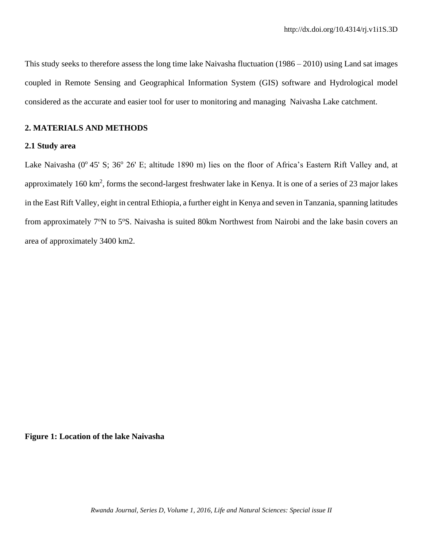This study seeks to therefore assess the long time lake Naivasha fluctuation (1986 – 2010) using Land sat images coupled in Remote Sensing and Geographical Information System (GIS) software and Hydrological model considered as the accurate and easier tool for user to monitoring and managing Naivasha Lake catchment.

## **2. MATERIALS AND METHODS**

#### **2.1 Study area**

Lake Naivasha (0°45' S; 36° 26' E; altitude 1890 m) lies on the floor of Africa's Eastern Rift Valley and, at approximately  $160 \text{ km}^2$ , forms the second-largest freshwater lake in Kenya. It is one of a series of 23 major lakes in the East Rift Valley, eight in central Ethiopia, a further eight in Kenya and seven in Tanzania, spanning latitudes from approximately 7°N to 5°S. Naivasha is suited 80km Northwest from Nairobi and the lake basin covers an area of approximately 3400 km2.

## **Figure 1: Location of the lake Naivasha**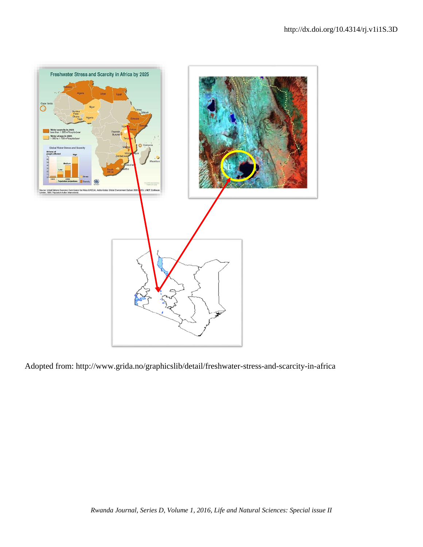

Adopted from: http://www.grida.no/graphicslib/detail/freshwater-stress-and-scarcity-in-africa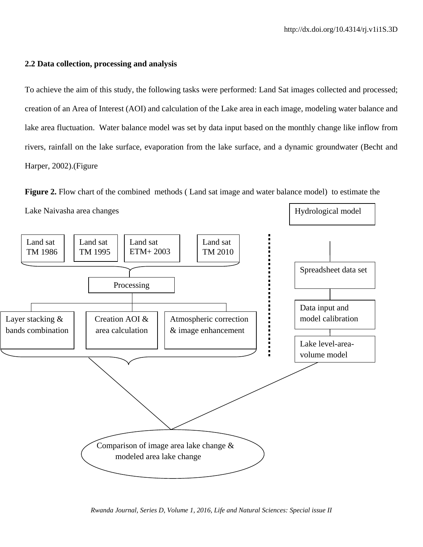### **2.2 Data collection, processing and analysis**

To achieve the aim of this study, the following tasks were performed: Land Sat images collected and processed; creation of an Area of Interest (AOI) and calculation of the Lake area in each image, modeling water balance and lake area fluctuation. Water balance model was set by data input based on the monthly change like inflow from rivers, rainfall on the lake surface, evaporation from the lake surface, and a dynamic groundwater (Becht and Harper, 2002).(Figure

**Figure 2.** Flow chart of the combined methods (Land sat image and water balance model) to estimate the Lake Naivasha area changes Hydrological model



*Rwanda Journal, Series D, Volume 1, 2016, Life and Natural Sciences: Special issue II*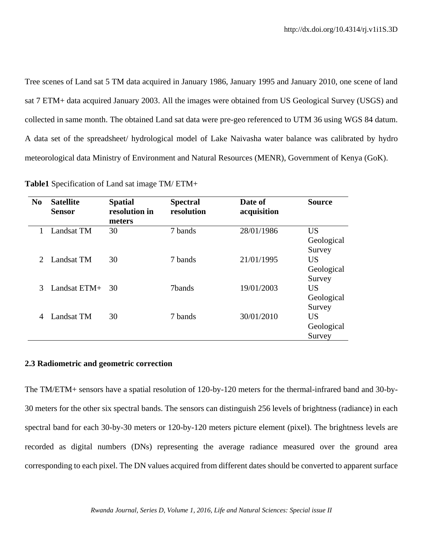Tree scenes of Land sat 5 TM data acquired in January 1986, January 1995 and January 2010, one scene of land sat 7 ETM+ data acquired January 2003. All the images were obtained from US Geological Survey (USGS) and collected in same month. The obtained Land sat data were pre-geo referenced to UTM 36 using WGS 84 datum. A data set of the spreadsheet/ hydrological model of Lake Naivasha water balance was calibrated by hydro meteorological data Ministry of Environment and Natural Resources (MENR), Government of Kenya (GoK).

| N <sub>0</sub>              | <b>Satellite</b><br><b>Sensor</b> | <b>Spatial</b><br>resolution in<br>meters | <b>Spectral</b><br>resolution | Date of<br>acquisition | <b>Source</b> |
|-----------------------------|-----------------------------------|-------------------------------------------|-------------------------------|------------------------|---------------|
| 1                           | Landsat TM                        | 30                                        | 7 bands                       | 28/01/1986             | <b>US</b>     |
|                             |                                   |                                           |                               |                        | Geological    |
|                             |                                   |                                           |                               |                        | Survey        |
| $\mathcal{D}_{\mathcal{L}}$ | Landsat TM                        | 30                                        | 7 bands                       | 21/01/1995             | <b>US</b>     |
|                             |                                   |                                           |                               |                        | Geological    |
|                             |                                   |                                           |                               |                        | Survey        |
| 3                           | Landsat $ETM+$                    | 30                                        | 7bands                        | 19/01/2003             | <b>US</b>     |
|                             |                                   |                                           |                               |                        | Geological    |
|                             |                                   |                                           |                               |                        | Survey        |
| 4                           | Landsat TM                        | 30                                        | 7 bands                       | 30/01/2010             | <b>US</b>     |
|                             |                                   |                                           |                               |                        | Geological    |
|                             |                                   |                                           |                               |                        | Survey        |

**Table1** Specification of Land sat image TM/ ETM+

## **2.3 Radiometric and geometric correction**

The TM/ETM+ sensors have a spatial resolution of 120-by-120 meters for the thermal-infrared band and 30-by-30 meters for the other six spectral bands. The sensors can distinguish 256 levels of brightness (radiance) in each spectral band for each 30-by-30 meters or 120-by-120 meters picture element (pixel). The brightness levels are recorded as digital numbers (DNs) representing the average radiance measured over the ground area corresponding to each pixel. The DN values acquired from different dates should be converted to apparent surface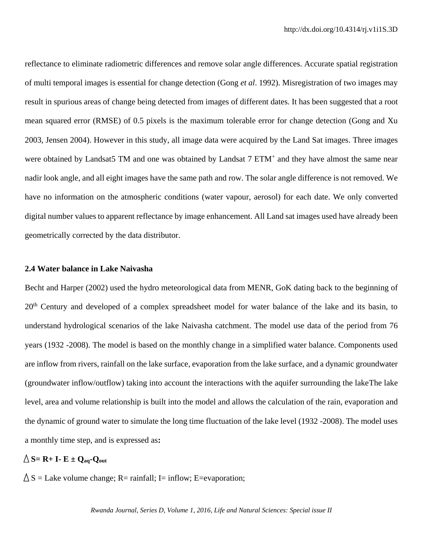reflectance to eliminate radiometric differences and remove solar angle differences. Accurate spatial registration of multi temporal images is essential for change detection (Gong *et al*. 1992). Misregistration of two images may result in spurious areas of change being detected from images of different dates. It has been suggested that a root mean squared error (RMSE) of 0.5 pixels is the maximum tolerable error for change detection (Gong and Xu 2003, Jensen 2004). However in this study, all image data were acquired by the Land Sat images. Three images were obtained by Landsat5 TM and one was obtained by Landsat 7 ETM<sup>+</sup> and they have almost the same near nadir look angle, and all eight images have the same path and row. The solar angle difference is not removed. We have no information on the atmospheric conditions (water vapour, aerosol) for each date. We only converted digital number values to apparent reflectance by image enhancement. All Land sat images used have already been geometrically corrected by the data distributor.

## **2.4 Water balance in Lake Naivasha**

Becht and Harper (2002) used the hydro meteorological data from MENR, GoK dating back to the beginning of 20<sup>th</sup> Century and developed of a complex spreadsheet model for water balance of the lake and its basin, to understand hydrological scenarios of the lake Naivasha catchment. The model use data of the period from 76 years (1932 -2008). The model is based on the monthly change in a simplified water balance. Components used are inflow from rivers, rainfall on the lake surface, evaporation from the lake surface, and a dynamic groundwater (groundwater inflow/outflow) taking into account the interactions with the aquifer surrounding the lakeThe lake level, area and volume relationship is built into the model and allows the calculation of the rain, evaporation and the dynamic of ground water to simulate the long time fluctuation of the lake level (1932 -2008). The model uses a monthly time step, and is expressed as**:** 

## $\triangle$  **S**= **R**+ **I- E**  $\pm$  **Q**<sub>aq</sub>**-Q**<sub>out</sub>

 $\triangle S =$  Lake volume change; R= rainfall; I= inflow; E=evaporation;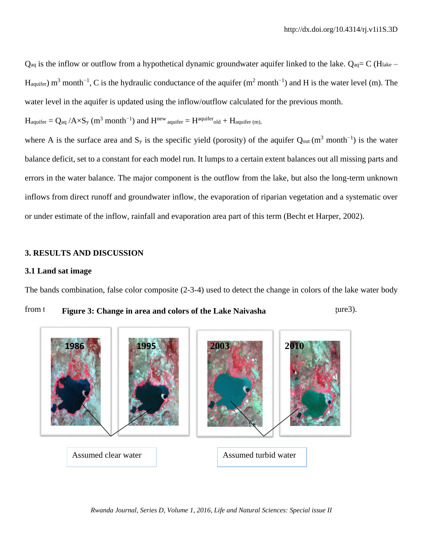$Q_{aq}$  is the inflow or outflow from a hypothetical dynamic groundwater aquifer linked to the lake.  $Q_{aq} = C (H_{\text{late}} - H_{\text{side}})$  $H_{\text{aquifer}}$ ) m<sup>3</sup> month<sup>-1</sup>, C is the hydraulic conductance of the aquifer (m<sup>2</sup> month<sup>-1</sup>) and H is the water level (m). The water level in the aquifer is updated using the inflow/outflow calculated for the previous month.

 $\rm H_{\rm{aquifer}} = Q_{aq}$  /A $\times S_{y}$   $(m^3 {\rm\ month}^{-1})$  and  $\rm H^{new}$   $_{\rm{aquifer}} = H^{\rm{aquifer}}$ old +  $\rm H_{\rm{aquifer}}$  (m),

where A is the surface area and S<sub>y</sub> is the specific yield (porosity) of the aquifer  $Q_{out}$  (m<sup>3</sup> month<sup>-1</sup>) is the water balance deficit, set to a constant for each model run. It lumps to a certain extent balances out all missing parts and errors in the water balance. The major component is the outflow from the lake, but also the long-term unknown inflows from direct runoff and groundwater inflow, the evaporation of riparian vegetation and a systematic over or under estimate of the inflow, rainfall and evaporation area part of this term (Becht et Harper, 2002).

## **3. RESULTS AND DISCUSSION**

## **3.1 Land sat image**

The bands combination, false color composite (2-3-4) used to detect the change in colors of the lake water body

from the **Figure 3: Change in area and colors of the Lake Naivasha** 5.2 sure 3.

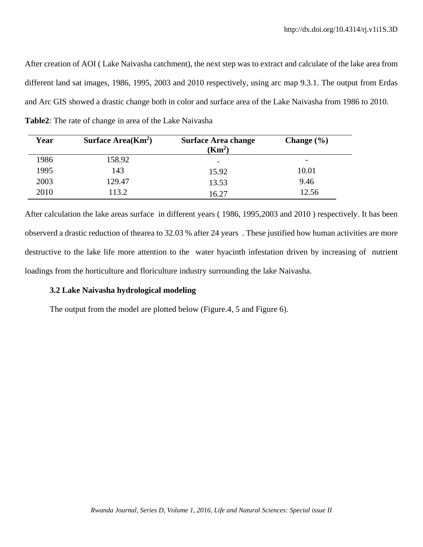After creation of AOI ( Lake Naivasha catchment), the next step was to extract and calculate of the lake area from different land sat images, 1986, 1995, 2003 and 2010 respectively, using arc map 9.3.1. The output from Erdas and Arc GIS showed a drastic change both in color and surface area of the Lake Naivasha from 1986 to 2010. **Table2**: The rate of change in area of the Lake Naivasha

| Year | Surface $Area(Km2)$ | <b>Surface Area change</b><br>(Km <sup>2</sup> ) | Change $(\% )$           |
|------|---------------------|--------------------------------------------------|--------------------------|
| 1986 | 158.92              | $\overline{\phantom{a}}$                         | $\overline{\phantom{0}}$ |
| 1995 | 143                 | 15.92                                            | 10.01                    |
| 2003 | 129.47              | 13.53                                            | 9.46                     |
| 2010 | 113.2               | 16.27                                            | 12.56                    |

After calculation the lake areas surface in different years ( 1986, 1995,2003 and 2010 ) respectively. It has been observerd a drastic reduction of thearea to 32.03 % after 24 years . These justified how human activities are more destructive to the lake life more attention to the water hyacinth infestation driven by increasing of nutrient loadings from the horticulture and floriculture industry surrounding the lake Naivasha.

## **3.2 Lake Naivasha hydrological modeling**

The output from the model are plotted below (Figure.4, 5 and Figure 6).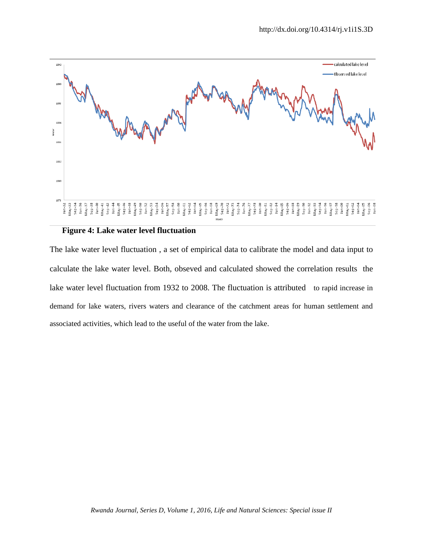

## **Figure 4: Lake water level fluctuation**

The lake water level fluctuation , a set of empirical data to calibrate the model and data input to calculate the lake water level. Both, obseved and calculated showed the correlation results the lake water level fluctuation from 1932 to 2008. The fluctuation is attributedto rapid increase in demand for lake waters, rivers waters and clearance of the catchment areas for human settlement and associated activities, which lead to the useful of the water from the lake.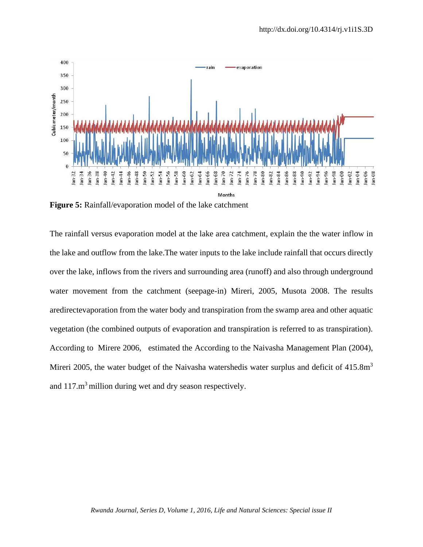

**Figure 5:** Rainfall/evaporation model of the lake catchment

The rainfall versus evaporation model at the lake area catchment, explain the the water inflow in the lake and outflow from the lake.The water inputs to the lake include rainfall that occurs directly over the lake, inflows from the rivers and surrounding area (runoff) and also through underground water movement from the catchment (seepage-in) Mireri, 2005, Musota 2008. The results aredirectevaporation from the water body and transpiration from the swamp area and other aquatic vegetation (the combined outputs of evaporation and transpiration is referred to as transpiration). According to Mirere 2006, estimated the According to the Naivasha Management Plan (2004), Mireri 2005, the water budget of the Naivasha watershedis water surplus and deficit of  $415.8\text{m}^3$ and  $117 \text{ m}^3$  million during wet and dry season respectively.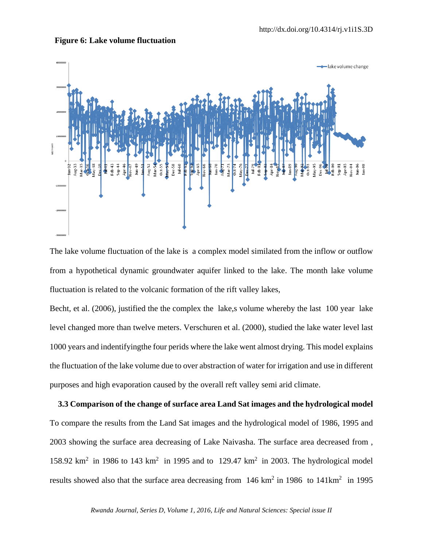

#### **Figure 6: Lake volume fluctuation**

The lake volume fluctuation of the lake is a complex model similated from the inflow or outflow from a hypothetical dynamic groundwater aquifer linked to the lake. The month lake volume fluctuation is related to the volcanic formation of the rift valley lakes,

Becht, et al. (2006), justified the the complex the lake, s volume whereby the last 100 year lake level changed more than twelve meters. Verschuren et al. (2000), studied the lake water level last 1000 years and indentifyingthe four perids where the lake went almost drying. This model explains the fluctuation of the lake volume due to over abstraction of water for irrigation and use in different purposes and high evaporation caused by the overall reft valley semi arid climate.

 **3.3 Comparison of the change of surface area Land Sat images and the hydrological model**  To compare the results from the Land Sat images and the hydrological model of 1986, 1995 and 2003 showing the surface area decreasing of Lake Naivasha. The surface area decreased from , 158.92  $\text{km}^2$  in 1986 to 143  $\text{km}^2$  in 1995 and to 129.47  $\text{km}^2$  in 2003. The hydrological model results showed also that the surface area decreasing from  $146 \text{ km}^2$  in 1986 to  $141 \text{ km}^2$  in 1995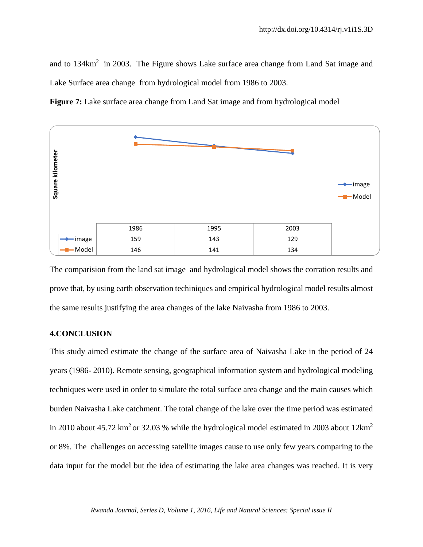and to  $134 \text{km}^2$  in 2003. The Figure shows Lake surface area change from Land Sat image and Lake Surface area change from hydrological model from 1986 to 2003.





The comparision from the land sat image and hydrological model shows the corration results and prove that, by using earth observation techiniques and empirical hydrological model results almost the same results justifying the area changes of the lake Naivasha from 1986 to 2003.

## **4.CONCLUSION**

This study aimed estimate the change of the surface area of Naivasha Lake in the period of 24 years (1986- 2010). Remote sensing, geographical information system and hydrological modeling techniques were used in order to simulate the total surface area change and the main causes which burden Naivasha Lake catchment. The total change of the lake over the time period was estimated in 2010 about 45.72 km<sup>2</sup> or 32.03 % while the hydrological model estimated in 2003 about  $12 \text{km}^2$ or 8%. The challenges on accessing satellite images cause to use only few years comparing to the data input for the model but the idea of estimating the lake area changes was reached. It is very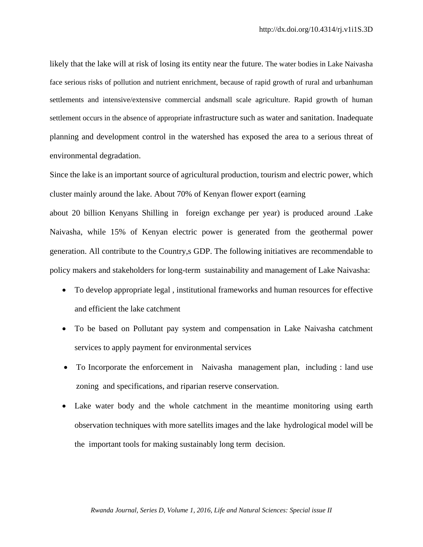likely that the lake will at risk of losing its entity near the future. The water bodies in Lake Naivasha face serious risks of pollution and nutrient enrichment, because of rapid growth of rural and urbanhuman settlements and intensive/extensive commercial andsmall scale agriculture. Rapid growth of human settlement occurs in the absence of appropriate infrastructure such as water and sanitation. Inadequate planning and development control in the watershed has exposed the area to a serious threat of environmental degradation.

Since the lake is an important source of agricultural production, tourism and electric power, which cluster mainly around the lake. About 70% of Kenyan flower export (earning

about 20 billion Kenyans Shilling in foreign exchange per year) is produced around .Lake Naivasha, while 15% of Kenyan electric power is generated from the geothermal power generation. All contribute to the Country,s GDP. The following initiatives are recommendable to policy makers and stakeholders for long-term sustainability and management of Lake Naivasha:

- To develop appropriate legal , institutional frameworks and human resources for effective and efficient the lake catchment
- To be based on Pollutant pay system and compensation in Lake Naivasha catchment services to apply payment for environmental services
- To Incorporate the enforcement in Naivasha management plan, including : land use zoning and specifications, and riparian reserve conservation.
- Lake water body and the whole catchment in the meantime monitoring using earth observation techniques with more satellits images and the lake hydrological model will be the important tools for making sustainably long term decision.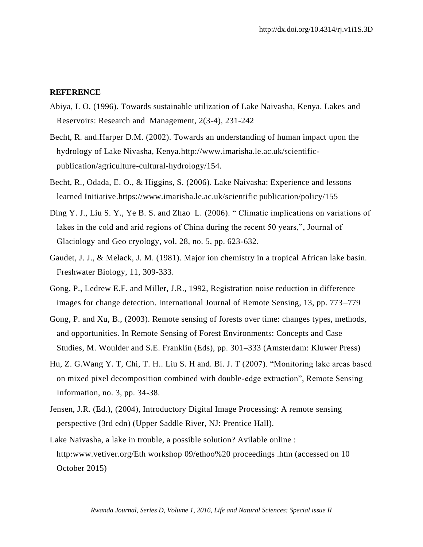### **REFERENCE**

- Abiya, I. O. (1996). Towards sustainable utilization of Lake Naivasha, Kenya. Lakes and Reservoirs: Research and Management, 2(3-4), 231-242
- Becht, R. and.Harper D.M. (2002). Towards an understanding of human impact upon the hydrology of Lake Nivasha, Kenya.http://www.imarisha.le.ac.uk/scientificpublication/agriculture-cultural-hydrology/154.
- Becht, R., Odada, E. O., & Higgins, S. (2006). Lake Naivasha: Experience and lessons learned Initiative.https://www.imarisha.le.ac.uk/scientific publication/policy/155
- Ding Y. J., Liu S. Y., Ye B. S. and Zhao L. (2006). " Climatic implications on variations of lakes in the cold and arid regions of China during the recent 50 years,", Journal of Glaciology and Geo cryology, vol. 28, no. 5, pp. 623-632.
- Gaudet, J. J., & Melack, J. M. (1981). Major ion chemistry in a tropical African lake basin. Freshwater Biology, 11, 309-333.
- Gong, P., Ledrew E.F. and Miller, J.R., 1992, Registration noise reduction in difference images for change detection. International Journal of Remote Sensing, 13, pp. 773–779
- Gong, P. and Xu, B., (2003). Remote sensing of forests over time: changes types, methods, and opportunities. In Remote Sensing of Forest Environments: Concepts and Case Studies, M. Woulder and S.E. Franklin (Eds), pp. 301–333 (Amsterdam: Kluwer Press)
- Hu, Z. G.Wang Y. T, Chi, T. H.. Liu S. H and. Bi. J. T (2007). "Monitoring lake areas based on mixed pixel decomposition combined with double-edge extraction", Remote Sensing Information, no. 3, pp. 34-38.
- Jensen, J.R. (Ed.), (2004), Introductory Digital Image Processing: A remote sensing perspective (3rd edn) (Upper Saddle River, NJ: Prentice Hall).
- Lake Naivasha, a lake in trouble, a possible solution? Avilable online : http[:www.vetiver.org/Eth workshop 09/ethoo%20](http://www.vetiver.org/Eth%20workshop%2009/ethoo) proceedings .htm (accessed on 10 October 2015)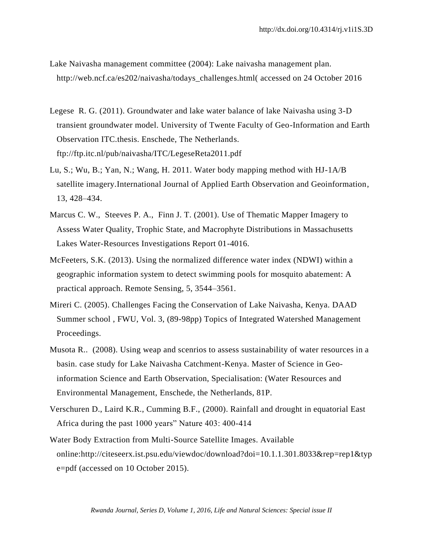- Lake Naivasha management committee (2004): Lake naivasha management plan. [http://web.ncf.ca/es202/naivasha/todays\\_challenges.html\(](http://web.ncf.ca/es202/naivasha/todays_challenges.html) accessed on 24 October 2016
- Legese R. G. (2011). Groundwater and lake water balance of lake Naivasha using 3-D transient groundwater model. University of Twente Faculty of Geo-Information and Earth Observation ITC.thesis. Enschede, The Netherlands. ftp://ftp.itc.nl/pub/naivasha/ITC/LegeseReta2011.pdf
- Lu, S.; Wu, B.; Yan, N.; Wang, H. 2011. Water body mapping method with HJ-1A/B satellite imagery.International Journal of Applied Earth Observation and Geoinformation, 13, 428–434.
- Marcus C. W., Steeves P. A., Finn J. T. (2001). Use of Thematic Mapper Imagery to Assess Water Quality, Trophic State, and Macrophyte Distributions in Massachusetts Lakes Water-Resources Investigations Report 01-4016.
- McFeeters, S.K. (2013). Using the normalized difference water index (NDWI) within a geographic information system to detect swimming pools for mosquito abatement: A practical approach. Remote Sensing, 5, 3544–3561.
- Mireri C. (2005). Challenges Facing the Conservation of Lake Naivasha, Kenya. DAAD Summer school , FWU, Vol. 3, (89-98pp) Topics of Integrated Watershed Management Proceedings.
- Musota R.. (2008). Using weap and scenrios to assess sustainability of water resources in a basin. case study for Lake Naivasha Catchment-Kenya. Master of Science in Geoinformation Science and Earth Observation, Specialisation: (Water Resources and Environmental Management, Enschede, the Netherlands, 81P.
- Verschuren D., Laird K.R., Cumming B.F., (2000). Rainfall and drought in equatorial East Africa during the past 1000 years" Nature 403: 400-414
- Water Body Extraction from Multi-Source Satellite Images. Available online:http://citeseerx.ist.psu.edu/viewdoc/download?doi=10.1.1.301.8033&rep=rep1&typ e=pdf (accessed on 10 October 2015).